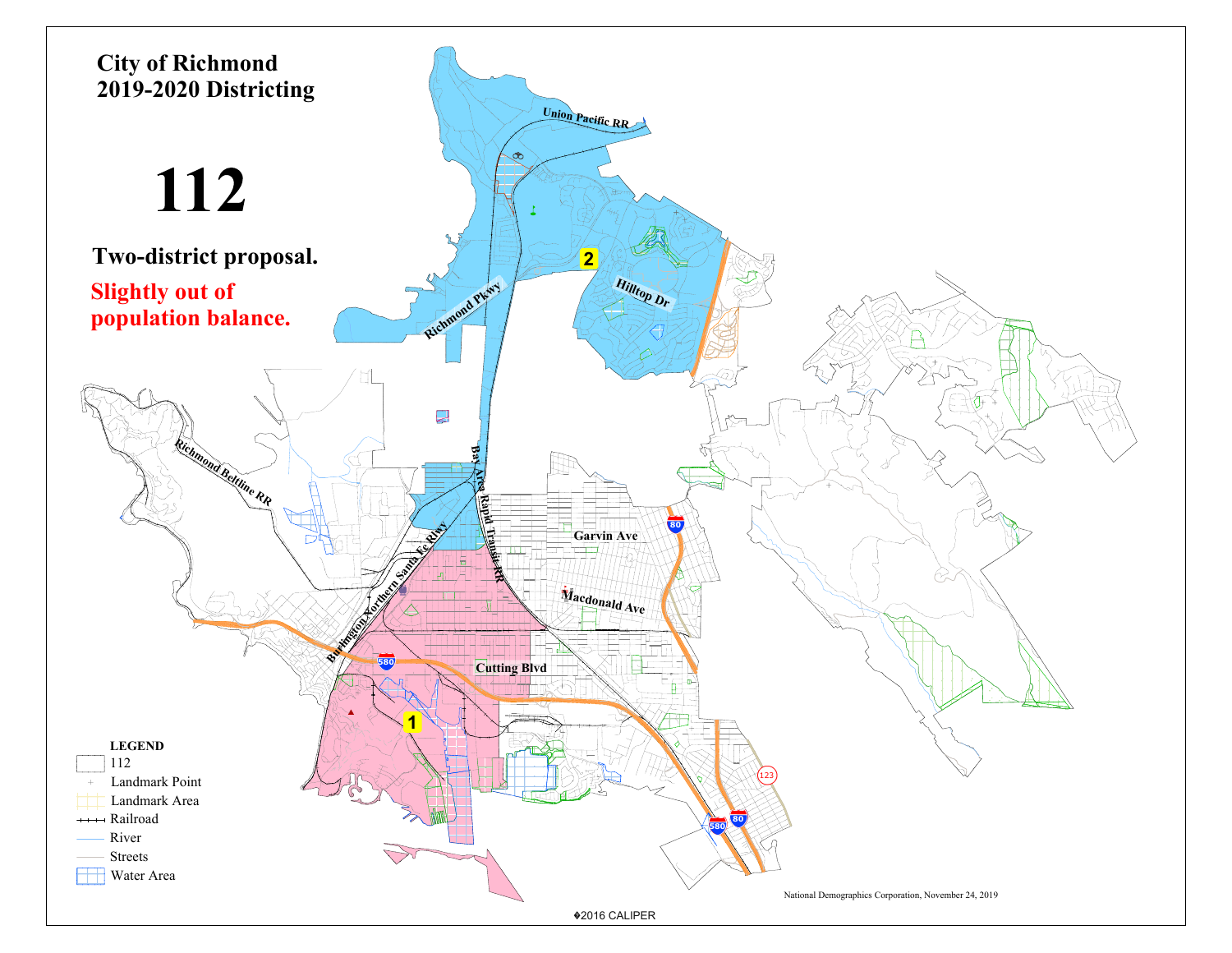